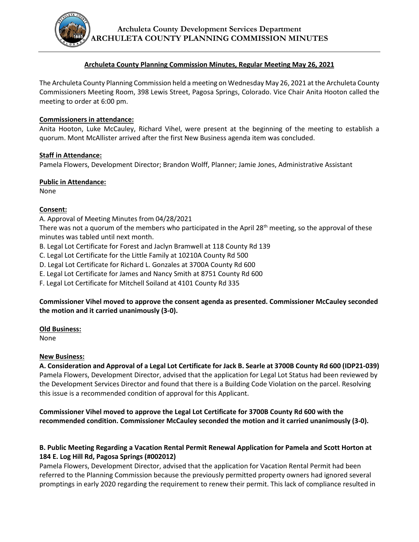**Archuleta County Development Services Department ARCHULETA COUNTY PLANNING COMMISSION MINUTES**

## **Archuleta County Planning Commission Minutes, Regular Meeting May 26, 2021**

The Archuleta County Planning Commission held a meeting on Wednesday May 26, 2021 at the Archuleta County Commissioners Meeting Room, 398 Lewis Street, Pagosa Springs, Colorado. Vice Chair Anita Hooton called the meeting to order at 6:00 pm.

## **Commissioners in attendance:**

Anita Hooton, Luke McCauley, Richard Vihel, were present at the beginning of the meeting to establish a quorum. Mont McAllister arrived after the first New Business agenda item was concluded.

## **Staff in Attendance:**

Pamela Flowers, Development Director; Brandon Wolff, Planner; Jamie Jones, Administrative Assistant

## **Public in Attendance:**

None

## **Consent:**

A. Approval of Meeting Minutes from 04/28/2021

There was not a quorum of the members who participated in the April 28<sup>th</sup> meeting, so the approval of these minutes was tabled until next month.

- B. Legal Lot Certificate for Forest and Jaclyn Bramwell at 118 County Rd 139
- C. Legal Lot Certificate for the Little Family at 10210A County Rd 500
- D. Legal Lot Certificate for Richard L. Gonzales at 3700A County Rd 600
- E. Legal Lot Certificate for James and Nancy Smith at 8751 County Rd 600

F. Legal Lot Certificate for Mitchell Soiland at 4101 County Rd 335

# **Commissioner Vihel moved to approve the consent agenda as presented. Commissioner McCauley seconded the motion and it carried unanimously (3-0).**

## **Old Business:**

None

## **New Business:**

**A. Consideration and Approval of a Legal Lot Certificate for Jack B. Searle at 3700B County Rd 600 (IDP21-039)** Pamela Flowers, Development Director, advised that the application for Legal Lot Status had been reviewed by the Development Services Director and found that there is a Building Code Violation on the parcel. Resolving this issue is a recommended condition of approval for this Applicant.

**Commissioner Vihel moved to approve the Legal Lot Certificate for 3700B County Rd 600 with the recommended condition. Commissioner McCauley seconded the motion and it carried unanimously (3-0).**

# **B. Public Meeting Regarding a Vacation Rental Permit Renewal Application for Pamela and Scott Horton at 184 E. Log Hill Rd, Pagosa Springs (#002012)**

Pamela Flowers, Development Director, advised that the application for Vacation Rental Permit had been referred to the Planning Commission because the previously permitted property owners had ignored several promptings in early 2020 regarding the requirement to renew their permit. This lack of compliance resulted in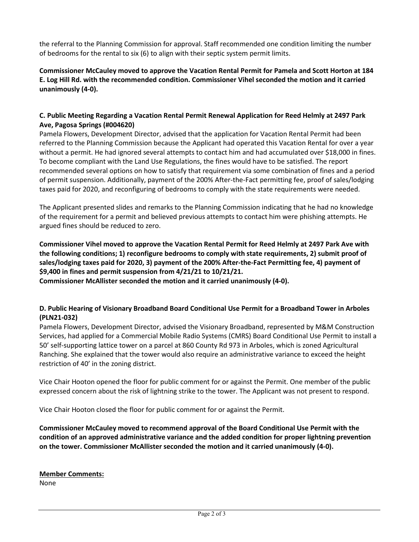the referral to the Planning Commission for approval. Staff recommended one condition limiting the number of bedrooms for the rental to six (6) to align with their septic system permit limits.

**Commissioner McCauley moved to approve the Vacation Rental Permit for Pamela and Scott Horton at 184 E. Log Hill Rd. with the recommended condition. Commissioner Vihel seconded the motion and it carried unanimously (4-0).**

# **C. Public Meeting Regarding a Vacation Rental Permit Renewal Application for Reed Helmly at 2497 Park Ave, Pagosa Springs (#004620)**

Pamela Flowers, Development Director, advised that the application for Vacation Rental Permit had been referred to the Planning Commission because the Applicant had operated this Vacation Rental for over a year without a permit. He had ignored several attempts to contact him and had accumulated over \$18,000 in fines. To become compliant with the Land Use Regulations, the fines would have to be satisfied. The report recommended several options on how to satisfy that requirement via some combination of fines and a period of permit suspension. Additionally, payment of the 200% After-the-Fact permitting fee, proof of sales/lodging taxes paid for 2020, and reconfiguring of bedrooms to comply with the state requirements were needed.

The Applicant presented slides and remarks to the Planning Commission indicating that he had no knowledge of the requirement for a permit and believed previous attempts to contact him were phishing attempts. He argued fines should be reduced to zero.

**Commissioner Vihel moved to approve the Vacation Rental Permit for Reed Helmly at 2497 Park Ave with the following conditions; 1) reconfigure bedrooms to comply with state requirements, 2) submit proof of sales/lodging taxes paid for 2020, 3) payment of the 200% After-the-Fact Permitting fee, 4) payment of \$9,400 in fines and permit suspension from 4/21/21 to 10/21/21.**

**Commissioner McAllister seconded the motion and it carried unanimously (4-0).**

# **D. Public Hearing of Visionary Broadband Board Conditional Use Permit for a Broadband Tower in Arboles (PLN21-032)**

Pamela Flowers, Development Director, advised the Visionary Broadband, represented by M&M Construction Services, had applied for a Commercial Mobile Radio Systems (CMRS) Board Conditional Use Permit to install a 50' self-supporting lattice tower on a parcel at 860 County Rd 973 in Arboles, which is zoned Agricultural Ranching. She explained that the tower would also require an administrative variance to exceed the height restriction of 40' in the zoning district.

Vice Chair Hooton opened the floor for public comment for or against the Permit. One member of the public expressed concern about the risk of lightning strike to the tower. The Applicant was not present to respond.

Vice Chair Hooton closed the floor for public comment for or against the Permit.

**Commissioner McCauley moved to recommend approval of the Board Conditional Use Permit with the condition of an approved administrative variance and the added condition for proper lightning prevention on the tower. Commissioner McAllister seconded the motion and it carried unanimously (4-0).**

**Member Comments:** None